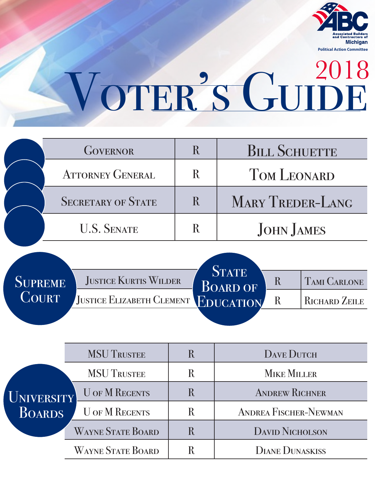

## VOTER'S GUIDE

| <b>GOVERNOR</b>           |   | <b>BILL SCHUETTE</b>    |
|---------------------------|---|-------------------------|
| <b>ATTORNEY GENERAL</b>   |   | <b>TOM LEONARD</b>      |
| <b>SECRETARY OF STATE</b> | R | <b>MARY TREDER-LANG</b> |
| <b>U.S. SENATE</b>        |   | <b>JOHN JAMES</b>       |

| <b>SUPREME</b> | <b>JUSTICE KURTIS WILDER</b>        | <b>STATE</b><br><b>BOARD OF</b> |    | <b>TAMI CARLONE</b> |
|----------------|-------------------------------------|---------------------------------|----|---------------------|
| COURT          | JUSTICE ELIZABETH CLEMENT EDUCATION |                                 | R. | RICHARD ZEILE       |
|                |                                     |                                 |    |                     |

| UNIVERSITY<br>BOARDS | <b>MSU TRUSTEE</b>       | R | <b>DAVE DUTCH</b>            |  |  |
|----------------------|--------------------------|---|------------------------------|--|--|
|                      | <b>MSU TRUSTEE</b>       | R | <b>MIKE MILLER</b>           |  |  |
|                      | <b>U OF M REGENTS</b>    | R | <b>ANDREW RICHNER</b>        |  |  |
|                      | <b>U OF M REGENTS</b>    | R | <b>ANDREA FISCHER-NEWMAN</b> |  |  |
|                      | <b>WAYNE STATE BOARD</b> | R | <b>DAVID NICHOLSON</b>       |  |  |
|                      | <b>WAYNE STATE BOARD</b> | R | <b>DIANE DUNASKISS</b>       |  |  |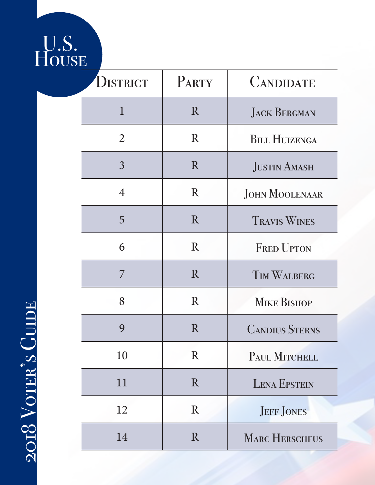## U.S. House

| DISTRICT       | PARTY       | <b>CANDIDATE</b>      |
|----------------|-------------|-----------------------|
| $\mathbf{1}$   | R           | <b>JACK BERGMAN</b>   |
| $\overline{2}$ | R           | <b>BILL HUIZENGA</b>  |
| $\overline{3}$ | R           | <b>JUSTIN AMASH</b>   |
| 4              | R           | <b>JOHN MOOLENAAR</b> |
| 5              | R           | <b>TRAVIS WINES</b>   |
| 6              | $\rm R$     | <b>FRED UPTON</b>     |
| 7              | R           | <b>TIM WALBERG</b>    |
| 8              | $\rm R$     | <b>MIKE BISHOP</b>    |
| 9              | $\rm R$     | <b>CANDIUS STERNS</b> |
| 10             | R           | PAUL MITCHELL         |
| 11             | R           | <b>LENA EPSTEIN</b>   |
| 12             | $\mathbf R$ | <b>JEFF JONES</b>     |
| 14             | R           | <b>MARC HERSCHFUS</b> |

2018 VOTER'S GUIDE  $2018\,\mathrm{V}\mathrm{OTER}^2\mathrm{S}\mathrm{\,G} \mathrm{UDE}$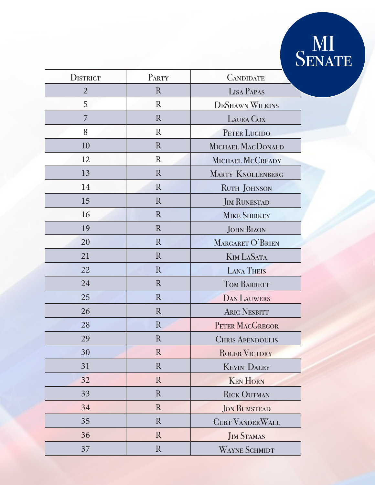## MI SENATE

| PARTY<br><b>DISTRICT</b> |              | <b>CANDIDATE</b>         |  |
|--------------------------|--------------|--------------------------|--|
| $\overline{2}$           | $\mathbf R$  | <b>LISA PAPAS</b>        |  |
| 5                        | $\mathbf{R}$ | <b>DESHAWN WILKINS</b>   |  |
| 7                        | $\mathbf{R}$ | LAURA COX                |  |
| 8                        | $\mathbf{R}$ | PETER LUCIDO             |  |
| 10                       | $\mathbf{R}$ | MICHAEL MACDONALD        |  |
| 12                       | $\rm R$      | MICHAEL MCCREADY         |  |
| 13                       | $\mathbf R$  | <b>MARTY KNOLLENBERG</b> |  |
| 14                       | $\mathbf R$  | RUTH JOHNSON             |  |
| 15                       | $\mathbf R$  | <b>JIM RUNESTAD</b>      |  |
| 16                       | $\mathbf R$  | <b>MIKE SHIRKEY</b>      |  |
| 19                       | $\mathbb{R}$ | <b>JOHN BIZON</b>        |  |
| 20                       | $\mathbf{R}$ | MARGARET O'BRIEN         |  |
| 21                       | $\mathbf{R}$ | <b>KIM LASATA</b>        |  |
| 22                       | $\mathbf{R}$ | <b>LANA THEIS</b>        |  |
| 24                       | $\mathbf R$  | <b>TOM BARRETT</b>       |  |
| 25                       | $\mathbf R$  | <b>DAN LAUWERS</b>       |  |
| 26                       | $\mathbf R$  | <b>ARIC NESBITT</b>      |  |
| 28                       | $\mathbf{R}$ | PETER MACGREGOR          |  |
| 29                       | R            | <b>CHRIS AFENDOULIS</b>  |  |
| 30                       | $\mathbf R$  | <b>ROGER VICTORY</b>     |  |
| 31                       | $\mathbf R$  | <b>KEVIN DALEY</b>       |  |
| 32                       | $\mathbb{R}$ | <b>KEN HORN</b>          |  |
| 33                       | $\mathbb{R}$ | <b>RICK OUTMAN</b>       |  |
| 34                       | $\mathbf{R}$ | <b>JON BUMSTEAD</b>      |  |
| 35                       | $\mathbf{R}$ | <b>CURT VANDERWALL</b>   |  |
| 36                       | $\mathbf{R}$ | <b>JIM STAMAS</b>        |  |
| 37                       | $\mathbf R$  | <b>WAYNE SCHMIDT</b>     |  |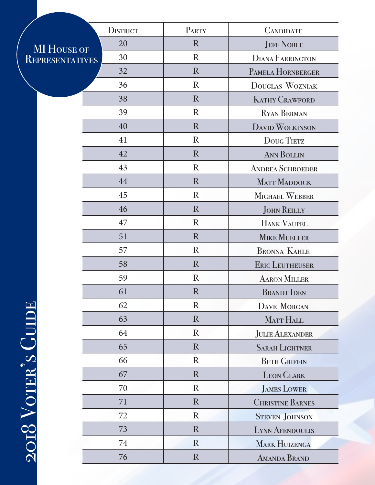|                        | <b>DISTRICT</b> | PARTY        | <b>CANDIDATE</b>        |
|------------------------|-----------------|--------------|-------------------------|
| <b>MI HOUSE OF</b>     | 20              | $\mathbf R$  | <b>JEFF NOBLE</b>       |
| <b>REPRESENTATIVES</b> | 30              | $\rm R$      | <b>DIANA FARRINGTON</b> |
|                        | 32              | R            | PAMELA HORNBERGER       |
|                        | 36              | $\mathbb{R}$ | DOUGLAS WOZNIAK         |
|                        | 38              | $\mathbf R$  | <b>KATHY CRAWFORD</b>   |
|                        | 39              | $\mathbb{R}$ | <b>RYAN BERMAN</b>      |
|                        | 40              | R            | <b>DAVID WOLKINSON</b>  |
|                        | 41              | $\mathbb{R}$ | <b>DOUG TIETZ</b>       |
|                        | 42              | $\mathbf R$  | <b>ANN BOLLIN</b>       |
|                        | 43              | $\rm R$      | <b>ANDREA SCHROEDER</b> |
|                        | 44              | R            | <b>MATT MADDOCK</b>     |
|                        | 45              | $\mathbb{R}$ | MICHAEL WEBBER          |
|                        | 46              | $\mathbf R$  | <b>JOHN REILLY</b>      |
|                        | 47              | $\mathbb{R}$ | <b>HANK VAUPEL</b>      |
|                        | 51              | R            | <b>MIKE MUELLER</b>     |
|                        | 57              | $\mathbb{R}$ | <b>BRONNA KAHLE</b>     |
|                        | 58              | $\mathbf R$  | <b>ERIC LEUTHEUSER</b>  |
|                        | 59              | $\mathbb{R}$ | <b>AARON MILLER</b>     |
|                        | 61              | $\mathbb{R}$ | <b>BRANDT</b> IDEN      |
|                        | 62              | $\mathbb{R}$ | <b>DAVE MORGAN</b>      |
|                        | 63              | $\mathbf R$  | MATT HALL               |
|                        | 64              | $\mathbf R$  | <b>JULIE ALEXANDER</b>  |
|                        | 65              | $\mathbf R$  | <b>SARAH LIGHTNER</b>   |
|                        | 66              | $\rm R$      | <b>BETH GRIFFIN</b>     |
|                        | 67              | $\mathbf R$  | <b>LEON CLARK</b>       |
|                        | 70              | $\rm R$      | <b>JAMES LOWER</b>      |
|                        | 71              | $\mathbf R$  | <b>CHRISTINE BARNES</b> |
|                        | 72              | $\rm R$      | <b>STEVEN JOHNSON</b>   |
|                        | 73              | $\mathbf R$  | <b>LYNN AFENDOULIS</b>  |
| 2018 VOTER'S GUIL      | 74              | $\mathbf R$  | <b>MARK HUIZENGA</b>    |
|                        | 76              | $\mathbf R$  | <b>AMANDA BRAND</b>     |
|                        |                 |              |                         |